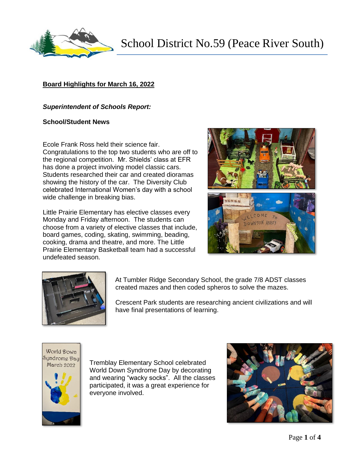

## **Board Highlights for March 16, 2022**

## *Superintendent of Schools Report:*

## **School/Student News**

Ecole Frank Ross held their science fair. Congratulations to the top two students who are off to the regional competition. Mr. Shields' class at EFR has done a project involving model classic cars. Students researched their car and created dioramas showing the history of the car. The Diversity Club celebrated International Women's day with a school wide challenge in breaking bias.

Little Prairie Elementary has elective classes every Monday and Friday afternoon. The students can choose from a variety of elective classes that include, board games, coding, skating, swimming, beading, cooking, drama and theatre, and more. The Little Prairie Elementary Basketball team had a successful undefeated season.





At Tumbler Ridge Secondary School, the grade 7/8 ADST classes created mazes and then coded spheros to solve the mazes.

Crescent Park students are researching ancient civilizations and will have final presentations of learning.

World Down Sundrome Day March 2022



Tremblay Elementary School celebrated World Down Syndrome Day by decorating and wearing "wacky socks". All the classes participated, it was a great experience for everyone involved.

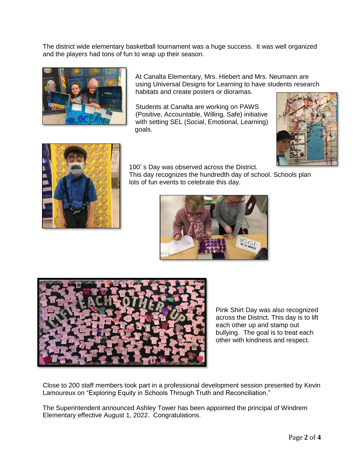The district wide elementary basketball tournament was a huge success. It was well organized and the players had tons of fun to wrap up their season.



At Canalta Elementary, Mrs. Hiebert and Mrs. Neumann are using Universal Designs for Learning to have students research habitats and create posters or dioramas.

Students at Canalta are working on PAWS (Positive, Accountable, Willing, Safe) initiative with setting SEL (Social, Emotional, Learning) goals.





100' s Day was observed across the District.

This day recognizes the hundredth day of school. Schools plan lots of fun events to celebrate this day.





Pink Shirt Day was also recognized across the District. This day is to lift each other up and stamp out bullying. The goal is to treat each other with kindness and respect.

Close to 200 staff members took part in a professional development session presented by Kevin Lamoureux on "Exploring Equity in Schools Through Truth and Reconciliation."

The Superintendent announced Ashley Tower has been appointed the principal of Windrem Elementary effective August 1, 2022. Congratulations.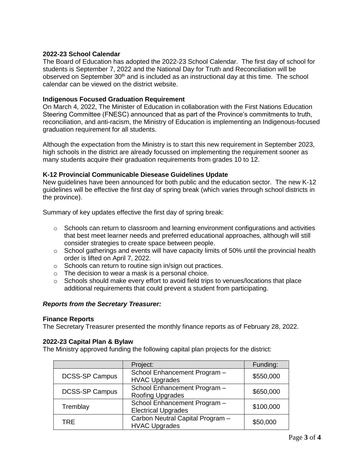## **2022-23 School Calendar**

The Board of Education has adopted the 2022-23 School Calendar. The first day of school for students is September 7, 2022 and the National Day for Truth and Reconciliation will be observed on September  $30<sup>th</sup>$  and is included as an instructional day at this time. The school calendar can be viewed on the district website.

## **Indigenous Focused Graduation Requirement**

On March 4, 2022, The Minister of Education in collaboration with the First Nations Education Steering Committee (FNESC) announced that as part of the Province's commitments to truth, reconciliation, and anti-racism, the Ministry of Education is implementing an Indigenous-focused graduation requirement for all students.

Although the expectation from the Ministry is to start this new requirement in September 2023, high schools in the district are already focussed on implementing the requirement sooner as many students acquire their graduation requirements from grades 10 to 12.

## **K-12 Provincial Communicable Diesease Guidelines Update**

New guidelines have been announced for both public and the education sector. The new K-12 guidelines will be effective the first day of spring break (which varies through school districts in the province).

Summary of key updates effective the first day of spring break:

- $\circ$  Schools can return to classroom and learning environment configurations and activities that best meet learner needs and preferred educational approaches, although will still consider strategies to create space between people.
- $\circ$  School gatherings and events will have capacity limits of 50% until the provincial health order is lifted on April 7, 2022.
- o Schools can return to routine sign in/sign out practices.
- o The decision to wear a mask is a personal choice.
- $\circ$  Schools should make every effort to avoid field trips to venues/locations that place additional requirements that could prevent a student from participating.

#### *Reports from the Secretary Treasurer:*

#### **Finance Reports**

The Secretary Treasurer presented the monthly finance reports as of February 28, 2022.

#### **2022-23 Capital Plan & Bylaw**

The Ministry approved funding the following capital plan projects for the district:

|                       | Project:                                                   | Funding:  |
|-----------------------|------------------------------------------------------------|-----------|
| <b>DCSS-SP Campus</b> | School Enhancement Program -<br><b>HVAC Upgrades</b>       | \$550,000 |
| <b>DCSS-SP Campus</b> | School Enhancement Program -<br>Roofing Upgrades           | \$650,000 |
| Tremblay              | School Enhancement Program -<br><b>Electrical Upgrades</b> | \$100,000 |
| TRE.                  | Carbon Neutral Capital Program -<br><b>HVAC Upgrades</b>   | \$50,000  |